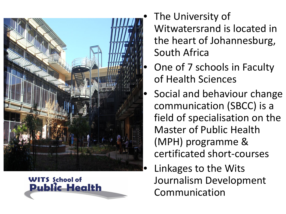



- The University of Witwatersrand is located in the heart of Johannesburg, South Africa
- One of 7 schools in Faculty of Health Sciences
- Social and behaviour change communication (SBCC) is a field of specialisation on the Master of Public Health (MPH) programme & certificated short-courses
	- Linkages to the Wits Journalism Development Communication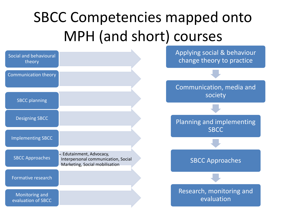#### SBCC Competencies mapped onto MPH (and short) courses

| Social and behavioural<br>theory     |                                                                                                    | Applying social & behaviour<br>change theory to practice |
|--------------------------------------|----------------------------------------------------------------------------------------------------|----------------------------------------------------------|
| <b>Communication theory</b>          |                                                                                                    |                                                          |
| <b>SBCC</b> planning                 |                                                                                                    | Communication, media and<br>society                      |
|                                      |                                                                                                    |                                                          |
| <b>Designing SBCC</b>                |                                                                                                    | Planning and implementing                                |
| <b>Implementing SBCC</b>             |                                                                                                    | <b>SBCC</b>                                              |
|                                      |                                                                                                    |                                                          |
| <b>SBCC Approaches</b>               | •: Edutainment, Advocacy,<br>Interpersonal communication, Social<br>Marketing, Social mobilisation | <b>SBCC Approaches</b>                                   |
| Formative research                   |                                                                                                    |                                                          |
| Monitoring and<br>evaluation of SBCC |                                                                                                    | Research, monitoring and<br>evaluation                   |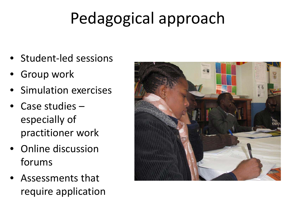# Pedagogical approach

- Student-led sessions
- Group work
- Simulation exercises
- Case studies especially of practitioner work
- Online discussion forums
- Assessments that require application

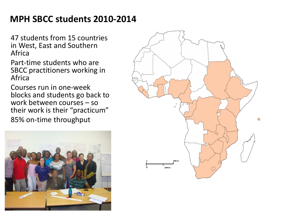#### **MPH SBCC students 2010-2014**

47 students from 15 countries in West, East and Southern Africa

Part-time students who are SBCC practitioners working in Africa

Courses run in one-week blocks and students go back to work between courses – so their work is their "practicum" 85% on-time throughput



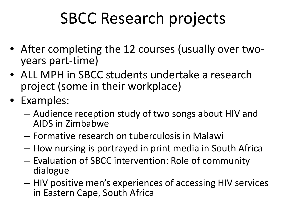## SBCC Research projects

- After completing the 12 courses (usually over two- years part-time)
- ALL MPH in SBCC students undertake a research project (some in their workplace)
- Examples:
	- Audience reception study of two songs about HIV and AIDS in Zimbabwe
	- Formative research on tuberculosis in Malawi
	- How nursing is portrayed in print media in South Africa
	- Evaluation of SBCC intervention: Role of community dialogue
	- HIV positive men's experiences of accessing HIV services in Eastern Cape, South Africa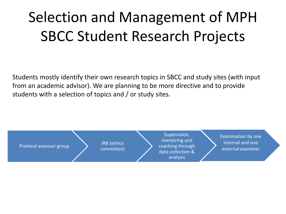### Selection and Management of MPH SBCC Student Research Projects

Students mostly identify their own research topics in SBCC and study sites (with input from an academic advisor). We are planning to be more directive and to provide students with a selection of topics and / or study sites.

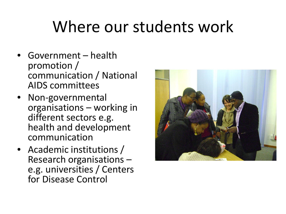## Where our students work

- Government health promotion / communication / National AIDS committees
- Non-governmental organisations – working in different sectors e.g. health and development communication
- Academic institutions /<br>– Research organisations e.g. universities / Centers for Disease Control

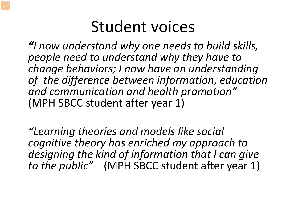#### Student voices

*"I now understand why one needs to build skills, people need to understand why they have to change behaviors; I now have an understanding of the difference between information, education and communication and health promotion"*  (MPH SBCC student after year 1)

*"Learning theories and models like social cognitive theory has enriched my approach to designing the kind of information that I can give to the public"* (MPH SBCC student after year 1)